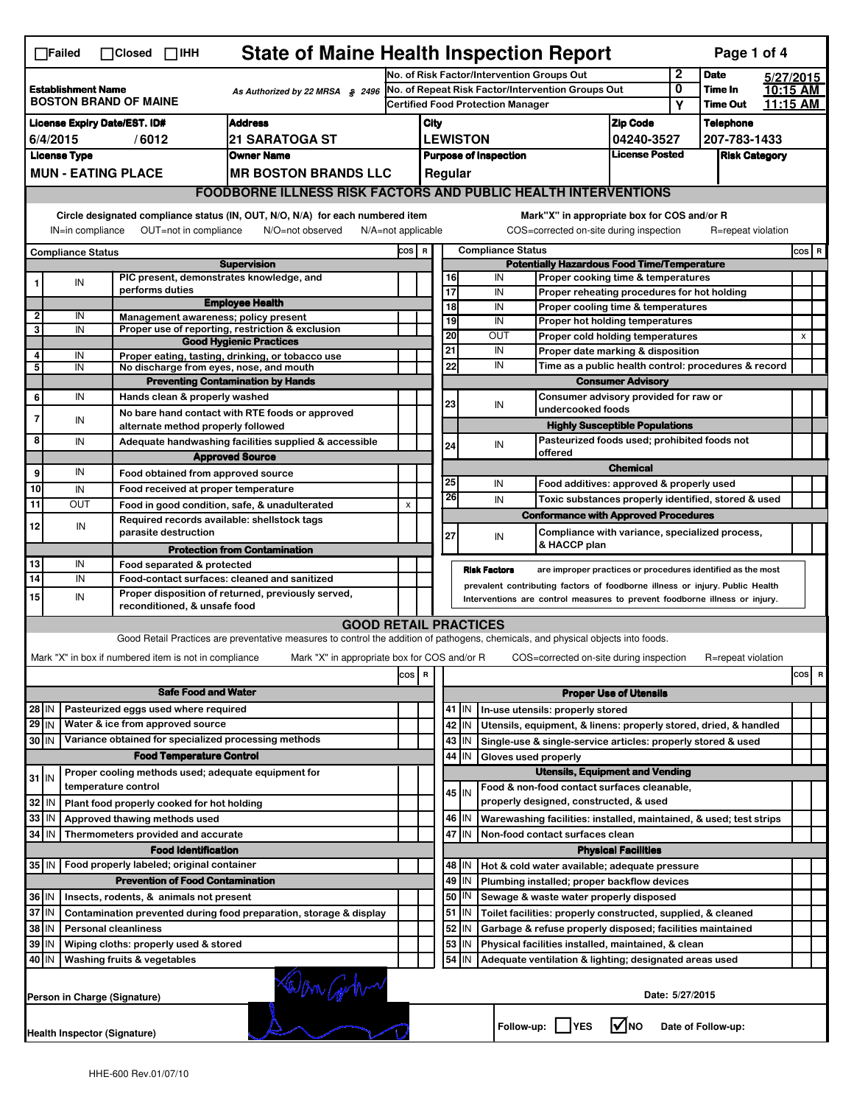|                                                                                                                                                                                                                                                                                                                                                                | <b>State of Maine Health Inspection Report</b><br>Page 1 of 4<br>$\Box$ Failed<br>$\Box$ Closed $\Box$ IHH |                           |                                                       |                                                                                                                                   |                                                                            |                                            |                       |                     |                                                           |                                                                                                    |                               |             |                    |  |                           |                         |
|----------------------------------------------------------------------------------------------------------------------------------------------------------------------------------------------------------------------------------------------------------------------------------------------------------------------------------------------------------------|------------------------------------------------------------------------------------------------------------|---------------------------|-------------------------------------------------------|-----------------------------------------------------------------------------------------------------------------------------------|----------------------------------------------------------------------------|--------------------------------------------|-----------------------|---------------------|-----------------------------------------------------------|----------------------------------------------------------------------------------------------------|-------------------------------|-------------|--------------------|--|---------------------------|-------------------------|
|                                                                                                                                                                                                                                                                                                                                                                |                                                                                                            |                           |                                                       |                                                                                                                                   | $\mathbf 2$<br>No. of Risk Factor/Intervention Groups Out                  |                                            |                       |                     |                                                           |                                                                                                    |                               | <b>Date</b> | 5/27/2015          |  |                           |                         |
| <b>Establishment Name</b><br>As Authorized by 22 MRSA § 2496<br><b>BOSTON BRAND OF MAINE</b>                                                                                                                                                                                                                                                                   |                                                                                                            |                           |                                                       | No. of Repeat Risk Factor/Intervention Groups Out<br><b>Certified Food Protection Manager</b>                                     |                                                                            |                                            |                       |                     | 0<br>Υ                                                    | Time In<br>Time Out                                                                                | 10:15 AM<br>11:15 AM          |             |                    |  |                           |                         |
|                                                                                                                                                                                                                                                                                                                                                                |                                                                                                            |                           |                                                       |                                                                                                                                   |                                                                            |                                            |                       |                     |                                                           |                                                                                                    |                               |             |                    |  |                           |                         |
| <b>Address</b><br><b>License Expiry Date/EST. ID#</b>                                                                                                                                                                                                                                                                                                          |                                                                                                            |                           |                                                       |                                                                                                                                   |                                                                            | <b>Zip Code</b><br>City<br><b>LEWISTON</b> |                       |                     |                                                           | <b>Telephone</b><br>207-783-1433                                                                   |                               |             |                    |  |                           |                         |
| <b>21 SARATOGA ST</b><br>6/4/2015<br>/6012<br><b>License Type</b><br><b>Owner Name</b>                                                                                                                                                                                                                                                                         |                                                                                                            |                           |                                                       |                                                                                                                                   | 04240-3527<br>License Posted<br><b>Purpose of Inspection</b>               |                                            |                       |                     |                                                           |                                                                                                    |                               |             |                    |  |                           |                         |
|                                                                                                                                                                                                                                                                                                                                                                |                                                                                                            | <b>MUN - EATING PLACE</b> |                                                       | <b>MR BOSTON BRANDS LLC</b>                                                                                                       |                                                                            | <b>Risk Category</b><br>Regular            |                       |                     |                                                           |                                                                                                    |                               |             |                    |  |                           |                         |
|                                                                                                                                                                                                                                                                                                                                                                |                                                                                                            |                           |                                                       |                                                                                                                                   |                                                                            |                                            |                       |                     |                                                           |                                                                                                    |                               |             |                    |  |                           |                         |
| <b>FOODBORNE ILLNESS RISK FACTORS AND PUBLIC HEALTH INTERVENTIONS</b><br>Circle designated compliance status (IN, OUT, N/O, N/A) for each numbered item<br>Mark"X" in appropriate box for COS and/or R<br>IN=in compliance<br>OUT=not in compliance<br>N/O=not observed<br>N/A=not applicable<br>COS=corrected on-site during inspection<br>R=repeat violation |                                                                                                            |                           |                                                       |                                                                                                                                   |                                                                            |                                            |                       |                     |                                                           |                                                                                                    |                               |             |                    |  |                           |                         |
| <b>Compliance Status</b>                                                                                                                                                                                                                                                                                                                                       |                                                                                                            |                           |                                                       |                                                                                                                                   | COS R                                                                      |                                            |                       |                     | <b>Compliance Status</b>                                  |                                                                                                    |                               |             |                    |  | $cos$ R                   |                         |
|                                                                                                                                                                                                                                                                                                                                                                |                                                                                                            |                           |                                                       | <b>Supervision</b>                                                                                                                |                                                                            |                                            |                       |                     |                                                           | <b>Potentially Hazardous Food Time/Temperature</b>                                                 |                               |             |                    |  |                           |                         |
|                                                                                                                                                                                                                                                                                                                                                                | IN                                                                                                         |                           |                                                       | PIC present, demonstrates knowledge, and                                                                                          |                                                                            |                                            |                       | 16                  | IN                                                        | Proper cooking time & temperatures                                                                 |                               |             |                    |  |                           |                         |
|                                                                                                                                                                                                                                                                                                                                                                |                                                                                                            |                           | performs duties                                       | <b>Employee Health</b>                                                                                                            |                                                                            |                                            | $\overline{17}$       |                     | IN                                                        | Proper reheating procedures for hot holding                                                        |                               |             |                    |  |                           |                         |
| 2                                                                                                                                                                                                                                                                                                                                                              | IN                                                                                                         |                           |                                                       | Management awareness; policy present                                                                                              |                                                                            |                                            | $\overline{18}$<br>19 |                     | IN<br>IN                                                  | Proper cooling time & temperatures                                                                 |                               |             |                    |  |                           |                         |
| 3                                                                                                                                                                                                                                                                                                                                                              | IN                                                                                                         |                           |                                                       | Proper use of reporting, restriction & exclusion                                                                                  |                                                                            |                                            | $\overline{20}$       |                     | <b>OUT</b>                                                | Proper hot holding temperatures                                                                    |                               |             |                    |  | $\boldsymbol{\mathsf{x}}$ |                         |
|                                                                                                                                                                                                                                                                                                                                                                |                                                                                                            |                           |                                                       | <b>Good Hygienic Practices</b>                                                                                                    |                                                                            |                                            | 21                    |                     | IN                                                        | Proper cold holding temperatures<br>Proper date marking & disposition                              |                               |             |                    |  |                           |                         |
| 4<br>5                                                                                                                                                                                                                                                                                                                                                         | IN<br>IN                                                                                                   |                           |                                                       | Proper eating, tasting, drinking, or tobacco use<br>No discharge from eyes, nose, and mouth                                       |                                                                            |                                            | 22                    |                     | IN                                                        | Time as a public health control: procedures & record                                               |                               |             |                    |  |                           |                         |
|                                                                                                                                                                                                                                                                                                                                                                |                                                                                                            |                           |                                                       | <b>Preventing Contamination by Hands</b>                                                                                          |                                                                            |                                            |                       |                     |                                                           |                                                                                                    | <b>Consumer Advisory</b>      |             |                    |  |                           |                         |
| 6                                                                                                                                                                                                                                                                                                                                                              | IN                                                                                                         |                           | Hands clean & properly washed                         |                                                                                                                                   |                                                                            |                                            |                       |                     |                                                           | Consumer advisory provided for raw or                                                              |                               |             |                    |  |                           |                         |
|                                                                                                                                                                                                                                                                                                                                                                |                                                                                                            |                           |                                                       | No bare hand contact with RTE foods or approved                                                                                   |                                                                            |                                            | 23                    |                     | IN                                                        | undercooked foods                                                                                  |                               |             |                    |  |                           |                         |
| 7                                                                                                                                                                                                                                                                                                                                                              | IN                                                                                                         |                           | alternate method properly followed                    |                                                                                                                                   |                                                                            |                                            |                       |                     |                                                           | <b>Highly Susceptible Populations</b>                                                              |                               |             |                    |  |                           |                         |
| 8                                                                                                                                                                                                                                                                                                                                                              | IN                                                                                                         |                           |                                                       | Adequate handwashing facilities supplied & accessible                                                                             |                                                                            |                                            | 24                    |                     | IN                                                        | Pasteurized foods used; prohibited foods not                                                       |                               |             |                    |  |                           |                         |
|                                                                                                                                                                                                                                                                                                                                                                |                                                                                                            |                           |                                                       | <b>Approved Source</b>                                                                                                            |                                                                            |                                            |                       |                     |                                                           | offered                                                                                            | <b>Chemical</b>               |             |                    |  |                           |                         |
| 9                                                                                                                                                                                                                                                                                                                                                              | IN                                                                                                         |                           | Food obtained from approved source                    |                                                                                                                                   |                                                                            |                                            | 25                    |                     | IN                                                        |                                                                                                    |                               |             |                    |  |                           |                         |
| 10                                                                                                                                                                                                                                                                                                                                                             | IN                                                                                                         |                           | Food received at proper temperature                   |                                                                                                                                   |                                                                            |                                            | 26                    |                     | IN                                                        | Food additives: approved & properly used                                                           |                               |             |                    |  |                           |                         |
| 11                                                                                                                                                                                                                                                                                                                                                             | OUT                                                                                                        |                           |                                                       | Food in good condition, safe, & unadulterated                                                                                     | X                                                                          |                                            |                       |                     |                                                           | Toxic substances properly identified, stored & used<br><b>Conformance with Approved Procedures</b> |                               |             |                    |  |                           |                         |
| 12                                                                                                                                                                                                                                                                                                                                                             | IN                                                                                                         |                           | parasite destruction                                  | Required records available: shellstock tags                                                                                       |                                                                            |                                            | 27                    |                     | IN                                                        | Compliance with variance, specialized process,                                                     |                               |             |                    |  |                           |                         |
|                                                                                                                                                                                                                                                                                                                                                                |                                                                                                            |                           |                                                       | <b>Protection from Contamination</b>                                                                                              |                                                                            |                                            |                       |                     |                                                           | & HACCP plan                                                                                       |                               |             |                    |  |                           |                         |
| 13                                                                                                                                                                                                                                                                                                                                                             | IN                                                                                                         |                           | Food separated & protected                            |                                                                                                                                   |                                                                            |                                            |                       | <b>Risk Factors</b> |                                                           | are improper practices or procedures identified as the most                                        |                               |             |                    |  |                           |                         |
| 14                                                                                                                                                                                                                                                                                                                                                             | IN                                                                                                         |                           |                                                       | Food-contact surfaces: cleaned and sanitized                                                                                      |                                                                            |                                            |                       |                     |                                                           | prevalent contributing factors of foodborne illness or injury. Public Health                       |                               |             |                    |  |                           |                         |
| 15                                                                                                                                                                                                                                                                                                                                                             | IN                                                                                                         |                           | reconditioned, & unsafe food                          | Proper disposition of returned, previously served,                                                                                | Interventions are control measures to prevent foodborne illness or injury. |                                            |                       |                     |                                                           |                                                                                                    |                               |             |                    |  |                           |                         |
|                                                                                                                                                                                                                                                                                                                                                                |                                                                                                            |                           |                                                       | <b>GOOD RETAIL PRACTICES</b>                                                                                                      |                                                                            |                                            |                       |                     |                                                           |                                                                                                    |                               |             |                    |  |                           |                         |
|                                                                                                                                                                                                                                                                                                                                                                |                                                                                                            |                           |                                                       | Good Retail Practices are preventative measures to control the addition of pathogens, chemicals, and physical objects into foods. |                                                                            |                                            |                       |                     |                                                           |                                                                                                    |                               |             |                    |  |                           |                         |
|                                                                                                                                                                                                                                                                                                                                                                |                                                                                                            |                           | Mark "X" in box if numbered item is not in compliance | Mark "X" in appropriate box for COS and/or R                                                                                      |                                                                            |                                            |                       |                     |                                                           | COS=corrected on-site during inspection                                                            |                               |             | R=repeat violation |  |                           |                         |
|                                                                                                                                                                                                                                                                                                                                                                |                                                                                                            |                           |                                                       |                                                                                                                                   | $\cos$                                                                     | R                                          |                       |                     |                                                           |                                                                                                    |                               |             |                    |  | cos                       | $\overline{\mathbf{R}}$ |
|                                                                                                                                                                                                                                                                                                                                                                |                                                                                                            |                           | <b>Safe Food and Water</b>                            |                                                                                                                                   |                                                                            |                                            |                       |                     |                                                           |                                                                                                    | <b>Proper Use of Utensils</b> |             |                    |  |                           |                         |
| 28 IN                                                                                                                                                                                                                                                                                                                                                          |                                                                                                            |                           | Pasteurized eggs used where required                  |                                                                                                                                   |                                                                            |                                            |                       | 41 J IN             |                                                           | In-use utensils: properly stored                                                                   |                               |             |                    |  |                           |                         |
| 29 IN                                                                                                                                                                                                                                                                                                                                                          |                                                                                                            |                           | Water & ice from approved source                      |                                                                                                                                   |                                                                            |                                            |                       | 42   IN             |                                                           | Utensils, equipment, & linens: properly stored, dried, & handled                                   |                               |             |                    |  |                           |                         |
| 30 IN                                                                                                                                                                                                                                                                                                                                                          |                                                                                                            |                           |                                                       | Variance obtained for specialized processing methods                                                                              |                                                                            |                                            |                       | 43   IN             |                                                           | Single-use & single-service articles: properly stored & used                                       |                               |             |                    |  |                           |                         |
|                                                                                                                                                                                                                                                                                                                                                                |                                                                                                            |                           | <b>Food Temperature Control</b>                       |                                                                                                                                   |                                                                            |                                            |                       | 44 I IN             | Gloves used properly                                      |                                                                                                    |                               |             |                    |  |                           |                         |
|                                                                                                                                                                                                                                                                                                                                                                |                                                                                                            |                           |                                                       | Proper cooling methods used; adequate equipment for                                                                               |                                                                            |                                            |                       |                     |                                                           | <b>Utensils, Equipment and Vending</b>                                                             |                               |             |                    |  |                           |                         |
| $31$ IN                                                                                                                                                                                                                                                                                                                                                        |                                                                                                            | temperature control       |                                                       |                                                                                                                                   |                                                                            |                                            |                       | 45 IN               |                                                           | Food & non-food contact surfaces cleanable,                                                        |                               |             |                    |  |                           |                         |
| 32 IN                                                                                                                                                                                                                                                                                                                                                          |                                                                                                            |                           | Plant food properly cooked for hot holding            |                                                                                                                                   |                                                                            |                                            |                       |                     |                                                           | properly designed, constructed, & used                                                             |                               |             |                    |  |                           |                         |
| 33                                                                                                                                                                                                                                                                                                                                                             | IN                                                                                                         |                           | Approved thawing methods used                         |                                                                                                                                   |                                                                            |                                            |                       | 46 IN               |                                                           | Warewashing facilities: installed, maintained, & used; test strips                                 |                               |             |                    |  |                           |                         |
| 34 IN                                                                                                                                                                                                                                                                                                                                                          |                                                                                                            |                           | Thermometers provided and accurate                    |                                                                                                                                   |                                                                            |                                            |                       | 47<br><b>IN</b>     |                                                           | Non-food contact surfaces clean                                                                    |                               |             |                    |  |                           |                         |
|                                                                                                                                                                                                                                                                                                                                                                |                                                                                                            |                           | <b>Food Identification</b>                            |                                                                                                                                   |                                                                            |                                            |                       |                     |                                                           |                                                                                                    | <b>Physical Facilities</b>    |             |                    |  |                           |                         |
| 35 IN   Food properly labeled; original container                                                                                                                                                                                                                                                                                                              |                                                                                                            |                           |                                                       |                                                                                                                                   |                                                                            |                                            |                       | 48   IN             |                                                           | Hot & cold water available; adequate pressure                                                      |                               |             |                    |  |                           |                         |
|                                                                                                                                                                                                                                                                                                                                                                |                                                                                                            |                           | <b>Prevention of Food Contamination</b>               |                                                                                                                                   |                                                                            |                                            |                       | 49   IN             |                                                           | Plumbing installed; proper backflow devices                                                        |                               |             |                    |  |                           |                         |
| 36 IN                                                                                                                                                                                                                                                                                                                                                          |                                                                                                            |                           | Insects, rodents, & animals not present               |                                                                                                                                   |                                                                            |                                            |                       | 50   IN             |                                                           | Sewage & waste water properly disposed                                                             |                               |             |                    |  |                           |                         |
| $37$ IN                                                                                                                                                                                                                                                                                                                                                        |                                                                                                            |                           |                                                       | Contamination prevented during food preparation, storage & display                                                                |                                                                            |                                            |                       | 51   IN             |                                                           | Toilet facilities: properly constructed, supplied, & cleaned                                       |                               |             |                    |  |                           |                         |
| 38 IN<br><b>Personal cleanliness</b>                                                                                                                                                                                                                                                                                                                           |                                                                                                            |                           |                                                       |                                                                                                                                   |                                                                            |                                            | 52   IN               |                     | Garbage & refuse properly disposed; facilities maintained |                                                                                                    |                               |             |                    |  |                           |                         |
| 39 IN                                                                                                                                                                                                                                                                                                                                                          |                                                                                                            |                           | Wiping cloths: properly used & stored                 |                                                                                                                                   |                                                                            |                                            |                       | 53   IN             |                                                           | Physical facilities installed, maintained, & clean                                                 |                               |             |                    |  |                           |                         |
|                                                                                                                                                                                                                                                                                                                                                                | 40 IN<br>54<br>Washing fruits & vegetables<br>IN<br>Adequate ventilation & lighting; designated areas used |                           |                                                       |                                                                                                                                   |                                                                            |                                            |                       |                     |                                                           |                                                                                                    |                               |             |                    |  |                           |                         |
|                                                                                                                                                                                                                                                                                                                                                                | Win Gobo<br>Date: 5/27/2015<br>Person in Charge (Signature)                                                |                           |                                                       |                                                                                                                                   |                                                                            |                                            |                       |                     |                                                           |                                                                                                    |                               |             |                    |  |                           |                         |
|                                                                                                                                                                                                                                                                                                                                                                | $\sqrt{ }$ NO<br>Follow-up:     YES<br>Date of Follow-up:<br><b>Health Inspector (Signature)</b>           |                           |                                                       |                                                                                                                                   |                                                                            |                                            |                       |                     |                                                           |                                                                                                    |                               |             |                    |  |                           |                         |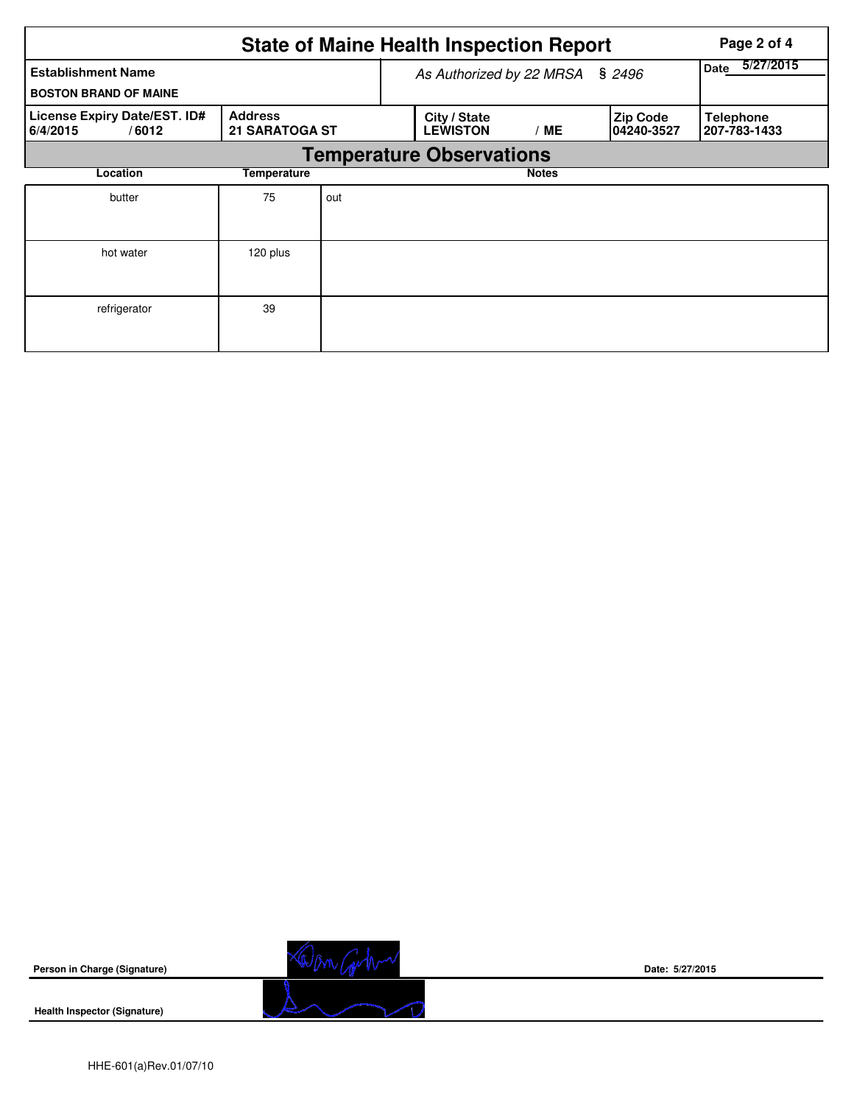| <b>State of Maine Health Inspection Report</b><br>Page 2 of 4 |                                         |     |                                 |                   |                                |                                  |  |  |  |  |
|---------------------------------------------------------------|-----------------------------------------|-----|---------------------------------|-------------------|--------------------------------|----------------------------------|--|--|--|--|
| <b>Establishment Name</b><br><b>BOSTON BRAND OF MAINE</b>     |                                         |     | As Authorized by 22 MRSA        | 5/27/2015<br>Date |                                |                                  |  |  |  |  |
| License Expiry Date/EST. ID#<br>/6012<br>6/4/2015             | <b>Address</b><br><b>21 SARATOGA ST</b> |     | City / State<br><b>LEWISTON</b> | ' ME              | <b>Zip Code</b><br> 04240-3527 | <b>Telephone</b><br>207-783-1433 |  |  |  |  |
|                                                               | <b>Temperature Observations</b>         |     |                                 |                   |                                |                                  |  |  |  |  |
| Location                                                      | Temperature                             |     |                                 | <b>Notes</b>      |                                |                                  |  |  |  |  |
| butter                                                        | 75                                      | out |                                 |                   |                                |                                  |  |  |  |  |
| hot water                                                     | 120 plus                                |     |                                 |                   |                                |                                  |  |  |  |  |
| refrigerator                                                  | 39                                      |     |                                 |                   |                                |                                  |  |  |  |  |

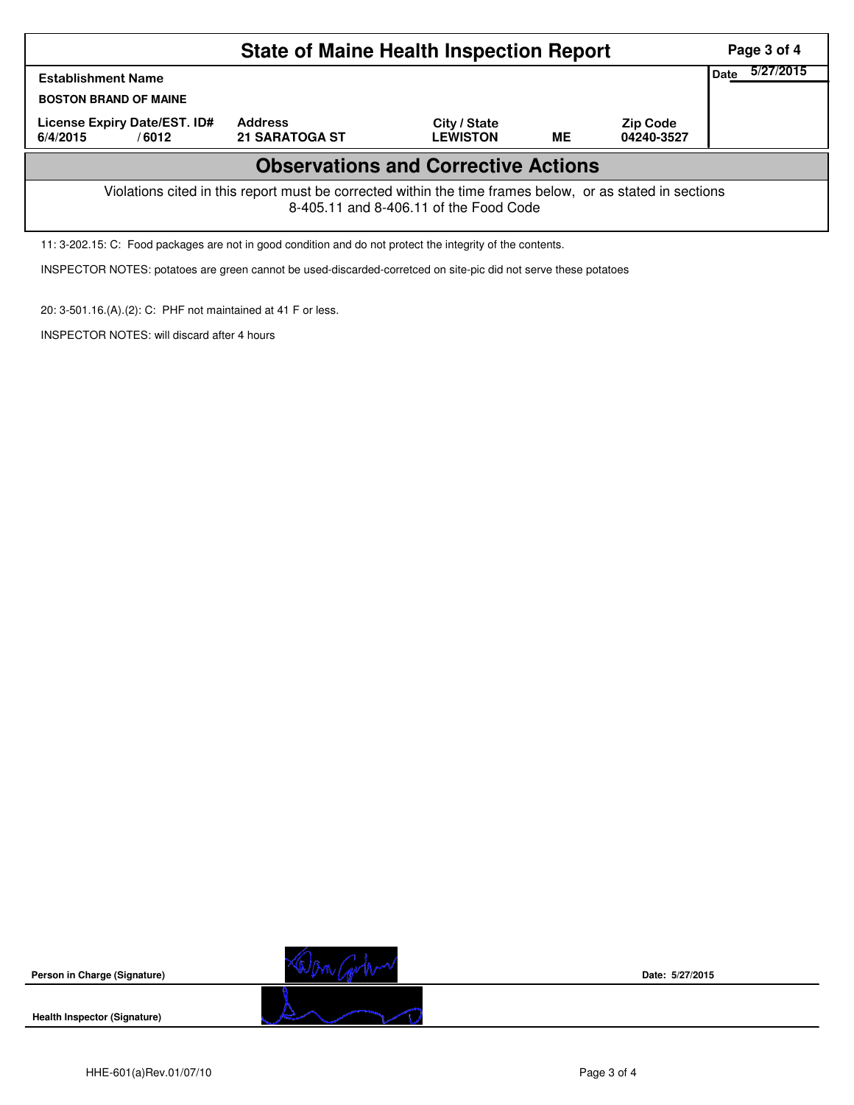|                                                                                                                                                    | Page 3 of 4                             |                                 |    |                               |  |  |  |  |
|----------------------------------------------------------------------------------------------------------------------------------------------------|-----------------------------------------|---------------------------------|----|-------------------------------|--|--|--|--|
| Date<br><b>Establishment Name</b><br><b>BOSTON BRAND OF MAINE</b>                                                                                  |                                         |                                 |    |                               |  |  |  |  |
| License Expiry Date/EST. ID#<br>6/4/2015<br>/6012                                                                                                  | <b>Address</b><br><b>21 SARATOGA ST</b> | City / State<br><b>LEWISTON</b> | ME | <b>Zip Code</b><br>04240-3527 |  |  |  |  |
| <b>Observations and Corrective Actions</b>                                                                                                         |                                         |                                 |    |                               |  |  |  |  |
| Violations cited in this report must be corrected within the time frames below, or as stated in sections<br>8-405.11 and 8-406.11 of the Food Code |                                         |                                 |    |                               |  |  |  |  |
| 11: 3-202.15: C: Food packages are not in good condition and do not protect the integrity of the contents.                                         |                                         |                                 |    |                               |  |  |  |  |

INSPECTOR NOTES: potatoes are green cannot be used-discarded-corretced on site-pic did not serve these potatoes

20: 3-501.16.(A).(2): C: PHF not maintained at 41 F or less.

INSPECTOR NOTES: will discard after 4 hours

**Person in Charge (Signature)**



**Date: 5/27/2015**

**Health Inspector (Signature)**